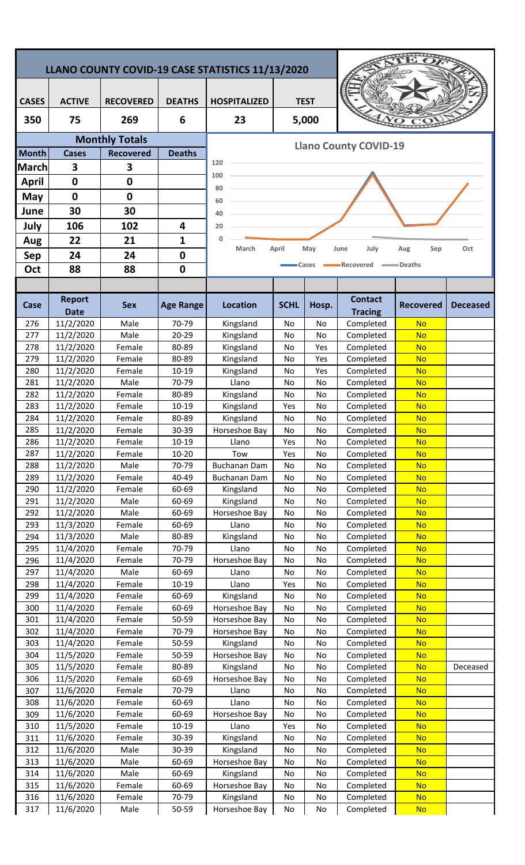|                       |                              |                  |                    | LLANO COUNTY COVID-19 CASE STATISTICS 11/13/2020           |             |          |                                  |                        |                 |  |  |
|-----------------------|------------------------------|------------------|--------------------|------------------------------------------------------------|-------------|----------|----------------------------------|------------------------|-----------------|--|--|
|                       |                              |                  |                    |                                                            |             |          |                                  |                        |                 |  |  |
| <b>CASES</b>          | <b>ACTIVE</b>                | <b>RECOVERED</b> | <b>DEATHS</b>      | <b>TEST</b><br><b>HOSPITALIZED</b>                         |             |          |                                  |                        |                 |  |  |
| 350                   | 75                           | 269              | 6                  | 23                                                         | 5,000       |          |                                  |                        |                 |  |  |
| <b>Monthly Totals</b> |                              |                  |                    |                                                            |             |          |                                  |                        |                 |  |  |
| <b>Month</b>          | <b>Cases</b>                 | <b>Recovered</b> | <b>Deaths</b>      | <b>Llano County COVID-19</b>                               |             |          |                                  |                        |                 |  |  |
| <b>March</b>          | 3                            | 3                |                    | 120                                                        |             |          |                                  |                        |                 |  |  |
| <b>April</b>          | $\mathbf 0$                  | $\mathbf 0$      |                    | 100                                                        |             |          |                                  |                        |                 |  |  |
| May                   | $\mathbf 0$                  | 0                |                    | 80                                                         |             |          |                                  |                        |                 |  |  |
| June                  | 30                           | 30               |                    | 60                                                         |             |          |                                  |                        |                 |  |  |
| July                  | 106                          | 102              | 4                  | 40<br>20                                                   |             |          |                                  |                        |                 |  |  |
| Aug                   | 22                           | 21               | $\mathbf{1}$       | $\mathbf{0}$                                               |             |          |                                  |                        |                 |  |  |
| <b>Sep</b>            | 24                           | 24               | $\mathbf 0$        | July<br>Oct<br>March<br>April<br>May<br>June<br>Aug<br>Sep |             |          |                                  |                        |                 |  |  |
| Oct                   | 88                           | 88               | $\mathbf 0$        |                                                            |             | Cases    | Recovered                        | -Deaths                |                 |  |  |
|                       |                              |                  |                    |                                                            |             |          |                                  |                        |                 |  |  |
|                       |                              |                  |                    |                                                            |             |          |                                  |                        |                 |  |  |
| Case                  | <b>Report</b><br><b>Date</b> | <b>Sex</b>       | <b>Age Range</b>   | <b>Location</b>                                            | <b>SCHL</b> | Hosp.    | <b>Contact</b><br><b>Tracing</b> | <b>Recovered</b>       | <b>Deceased</b> |  |  |
| 276                   | 11/2/2020                    | Male             | 70-79              | Kingsland                                                  | No          | No       | Completed                        | <b>No</b>              |                 |  |  |
| 277                   | 11/2/2020                    | Male             | $20 - 29$          | Kingsland                                                  | No          | No       | Completed                        | <b>No</b>              |                 |  |  |
| 278                   | 11/2/2020                    | Female           | 80-89              | Kingsland                                                  | No          | Yes      | Completed                        | <b>No</b>              |                 |  |  |
| 279                   | 11/2/2020                    | Female           | 80-89              | Kingsland                                                  | No          | Yes      | Completed                        | <b>No</b>              |                 |  |  |
| 280                   | 11/2/2020                    | Female           | 10-19              | Kingsland                                                  | No          | Yes      | Completed                        | <b>No</b>              |                 |  |  |
| 281                   | 11/2/2020                    | Male             | 70-79              | Llano                                                      | No          | No       | Completed                        | <b>No</b><br><b>No</b> |                 |  |  |
| 282<br>283            | 11/2/2020<br>11/2/2020       | Female<br>Female | 80-89<br>10-19     | Kingsland<br>Kingsland                                     | No<br>Yes   | No<br>No | Completed<br>Completed           | <b>No</b>              |                 |  |  |
| 284                   | 11/2/2020                    | Female           | 80-89              | Kingsland                                                  | No          | No       | Completed                        | <b>No</b>              |                 |  |  |
| 285                   | 11/2/2020                    | Female           | 30-39              | Horseshoe Bay                                              | No          | No       | Completed                        | <b>No</b>              |                 |  |  |
| 286                   | 11/2/2020                    | Female           | 10-19              | Llano                                                      | Yes         | No       | Completed                        | <b>No</b>              |                 |  |  |
| 287                   | 11/2/2020                    | Female           | $10 - 20$          | Tow                                                        | Yes         | No       | Completed                        | <b>No</b>              |                 |  |  |
| 288                   | 11/2/2020                    | Male             | 70-79              | Buchanan Dam                                               | No          | No       | Completed                        | <b>No</b>              |                 |  |  |
| 289                   | 11/2/2020                    | Female<br>Female | 40-49              | Buchanan Dam                                               | No          | No       | Completed<br>Completed           | <b>No</b>              |                 |  |  |
| 290<br>291            | 11/2/2020<br>11/2/2020       | Male             | 60-69<br>60-69     | Kingsland<br>Kingsland                                     | No<br>No    | No<br>No | Completed                        | <b>No</b><br><b>No</b> |                 |  |  |
| 292                   | 11/2/2020                    | Male             | 60-69              | Horseshoe Bay                                              | No          | No       | Completed                        | <b>No</b>              |                 |  |  |
| 293                   | 11/3/2020                    | Female           | 60-69              | Llano                                                      | No          | No       | Completed                        | <b>No</b>              |                 |  |  |
| 294                   | 11/3/2020                    | Male             | 80-89              | Kingsland                                                  | No          | No       | Completed                        | <b>No</b>              |                 |  |  |
| 295                   | 11/4/2020                    | Female           | 70-79              | Llano                                                      | No          | No       | Completed                        | <b>No</b>              |                 |  |  |
| 296                   | 11/4/2020                    | Female           | 70-79              | Horseshoe Bay                                              | No          | No       | Completed                        | <b>No</b>              |                 |  |  |
| 297<br>298            | 11/4/2020<br>11/4/2020       | Male<br>Female   | 60-69<br>$10 - 19$ | Llano<br>Llano                                             | No<br>Yes   | No<br>No | Completed<br>Completed           | <b>No</b><br><b>No</b> |                 |  |  |
| 299                   | 11/4/2020                    | Female           | 60-69              | Kingsland                                                  | No          | No       | Completed                        | <b>No</b>              |                 |  |  |
| 300                   | 11/4/2020                    | Female           | 60-69              | Horseshoe Bay                                              | No          | No       | Completed                        | <b>No</b>              |                 |  |  |
| 301                   | 11/4/2020                    | Female           | 50-59              | Horseshoe Bay                                              | No          | No       | Completed                        | <b>No</b>              |                 |  |  |
| 302                   | 11/4/2020                    | Female           | 70-79              | Horseshoe Bay                                              | No          | No       | Completed                        | <b>No</b>              |                 |  |  |
| 303                   | 11/4/2020                    | Female           | 50-59              | Kingsland                                                  | No          | No       | Completed                        | <b>No</b>              |                 |  |  |
| 304                   | 11/5/2020                    | Female<br>Female | 50-59<br>80-89     | Horseshoe Bay                                              | No          | No       | Completed                        | <b>No</b><br><b>No</b> |                 |  |  |
| 305<br>306            | 11/5/2020<br>11/5/2020       | Female           | 60-69              | Kingsland<br>Horseshoe Bay                                 | No<br>No    | No<br>No | Completed<br>Completed           | <b>No</b>              | Deceased        |  |  |
| 307                   | 11/6/2020                    | Female           | 70-79              | Llano                                                      | No          | No       | Completed                        | <b>No</b>              |                 |  |  |
| 308                   | 11/6/2020                    | Female           | 60-69              | Llano                                                      | No          | No       | Completed                        | <b>No</b>              |                 |  |  |
| 309                   | 11/6/2020                    | Female           | 60-69              | Horseshoe Bay                                              | No          | No       | Completed                        | <b>No</b>              |                 |  |  |
| 310                   | 11/5/2020                    | Female           | 10-19              | Llano                                                      | Yes         | No       | Completed                        | <b>No</b>              |                 |  |  |
| 311                   | 11/6/2020                    | Female           | 30-39              | Kingsland                                                  | No          | No       | Completed                        | <b>No</b>              |                 |  |  |
| 312<br>313            | 11/6/2020<br>11/6/2020       | Male<br>Male     | 30-39<br>60-69     | Kingsland<br>Horseshoe Bay                                 | No<br>No    | No<br>No | Completed<br>Completed           | <b>No</b><br><b>No</b> |                 |  |  |
| 314                   | 11/6/2020                    | Male             | 60-69              | Kingsland                                                  | No          | No       | Completed                        | <b>No</b>              |                 |  |  |
| 315                   | 11/6/2020                    | Female           | 60-69              | Horseshoe Bay                                              | No          | No       | Completed                        | <b>No</b>              |                 |  |  |
| 316                   | 11/6/2020                    | Female           | 70-79              | Kingsland                                                  | No          | No       | Completed                        | <b>No</b>              |                 |  |  |
| 317                   | 11/6/2020                    | Male             | 50-59              | Horseshoe Bay                                              | No          | No       | Completed                        | <b>No</b>              |                 |  |  |